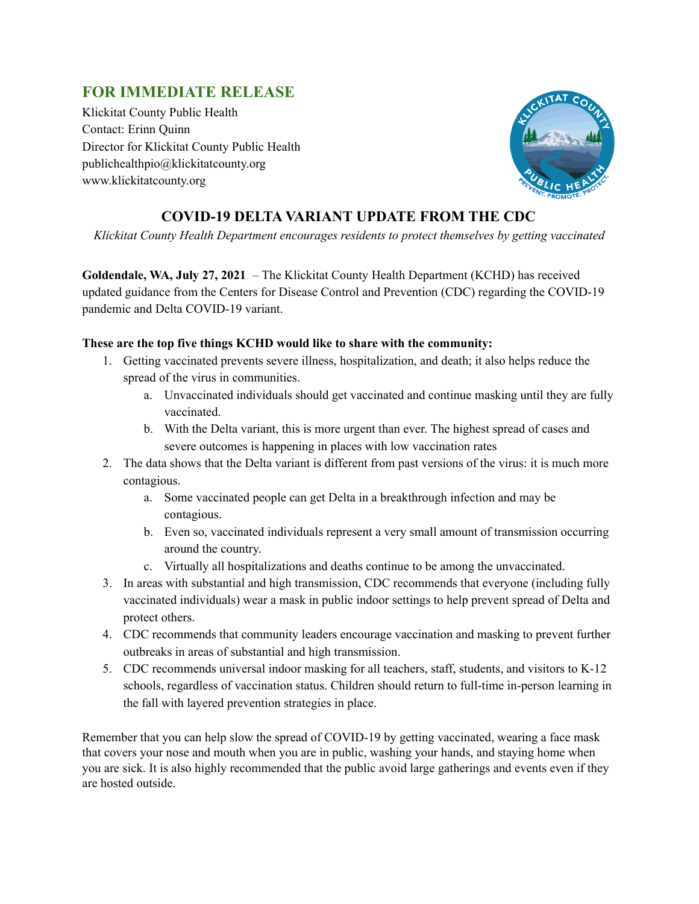# **FOR IMMEDIATE RELEASE**

Klickitat County Public Health Contact: Erinn Quinn Director for Klickitat County Public Health publichealthpio@klickitatcounty.org www.klickitatcounty.org



## **COVID-19 DELTA VARIANT UPDATE FROM THE CDC**

*Klickitat County Health Department encourages residents to protect themselves by getting vaccinated*

**Goldendale, WA, July 27, 2021** – The Klickitat County Health Department (KCHD) has received updated guidance from the Centers for Disease Control and Prevention (CDC) regarding the COVID-19 pandemic and Delta COVID-19 variant.

### **These are the top five things KCHD would like to share with the community:**

- 1. Getting vaccinated prevents severe illness, hospitalization, and death; it also helps reduce the spread of the virus in communities.
	- a. Unvaccinated individuals should get vaccinated and continue masking until they are fully vaccinated.
	- b. With the Delta variant, this is more urgent than ever. The highest spread of cases and severe outcomes is happening in places with low vaccination rates
- 2. The data shows that the Delta variant is different from past versions of the virus: it is much more contagious.
	- a. Some vaccinated people can get Delta in a breakthrough infection and may be contagious.
	- b. Even so, vaccinated individuals represent a very small amount of transmission occurring around the country.
	- c. Virtually all hospitalizations and deaths continue to be among the unvaccinated.
- 3. In areas with substantial and high transmission, CDC recommends that everyone (including fully vaccinated individuals) wear a mask in public indoor settings to help prevent spread of Delta and protect others.
- 4. CDC recommends that community leaders encourage vaccination and masking to prevent further outbreaks in areas of substantial and high transmission.
- 5. CDC recommends universal indoor masking for all teachers, staff, students, and visitors to K-12 schools, regardless of vaccination status. Children should return to full-time in-person learning in the fall with layered prevention strategies in place.

Remember that you can help slow the spread of COVID-19 by getting vaccinated, wearing a face mask that covers your nose and mouth when you are in public, washing your hands, and staying home when you are sick. It is also highly recommended that the public avoid large gatherings and events even if they are hosted outside.